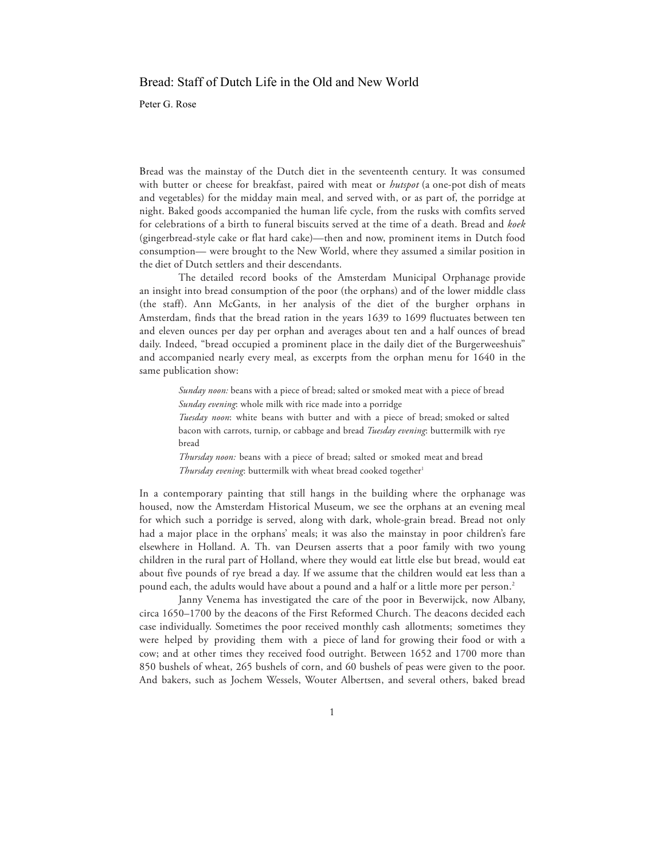## Bread: Staff of Dutch Life in the Old and New World

Peter G. Rose

Bread was the mainstay of the Dutch diet in the seventeenth century. It was consumed with butter or cheese for breakfast, paired with meat or *hutspot* (a one-pot dish of meats and vegetables) for the midday main meal, and served with, or as part of, the porridge at night. Baked goods accompanied the human life cycle, from the rusks with comfits served for celebrations of a birth to funeral biscuits served at the time of a death. Bread and *koek*  (gingerbread-style cake or flat hard cake)—then and now, prominent items in Dutch food consumption— were brought to the New World, where they assumed a similar position in the diet of Dutch settlers and their descendants.

The detailed record books of the Amsterdam Municipal Orphanage provide an insight into bread consumption of the poor (the orphans) and of the lower middle class (the staff). Ann McGants, in her analysis of the diet of the burgher orphans in Amsterdam, finds that the bread ration in the years 1639 to 1699 fluctuates between ten and eleven ounces per day per orphan and averages about ten and a half ounces of bread daily. Indeed, "bread occupied a prominent place in the daily diet of the Burgerweeshuis" and accompanied nearly every meal, as excerpts from the orphan menu for 1640 in the same publication show:

*Sunday noon:* beans with a piece of bread; salted or smoked meat with a piece of bread *Sunday evening*: whole milk with rice made into a porridge *Tuesday noon*: white beans with butter and with a piece of bread; smoked or salted

bacon with carrots, turnip, or cabbage and bread *Tuesday evening*: buttermilk with rye bread

*Thursday noon:* beans with a piece of bread; salted or smoked meat and bread *Thursday evening*: buttermilk with wheat bread cooked together<sup>1</sup>

In a contemporary painting that still hangs in the building where the orphanage was housed, now the Amsterdam Historical Museum, we see the orphans at an evening meal for which such a porridge is served, along with dark, whole-grain bread. Bread not only had a major place in the orphans' meals; it was also the mainstay in poor children's fare elsewhere in Holland. A. Th. van Deursen asserts that a poor family with two young children in the rural part of Holland, where they would eat little else but bread, would eat about five pounds of rye bread a day. If we assume that the children would eat less than a pound each, the adults would have about a pound and a half or a little more per person.<sup>2</sup>

Janny Venema has investigated the care of the poor in Beverwijck, now Albany, circa 1650–1700 by the deacons of the First Reformed Church. The deacons decided each case individually. Sometimes the poor received monthly cash allotments; sometimes they were helped by providing them with a piece of land for growing their food or with a cow; and at other times they received food outright. Between 1652 and 1700 more than 850 bushels of wheat, 265 bushels of corn, and 60 bushels of peas were given to the poor. And bakers, such as Jochem Wessels, Wouter Albertsen, and several others, baked bread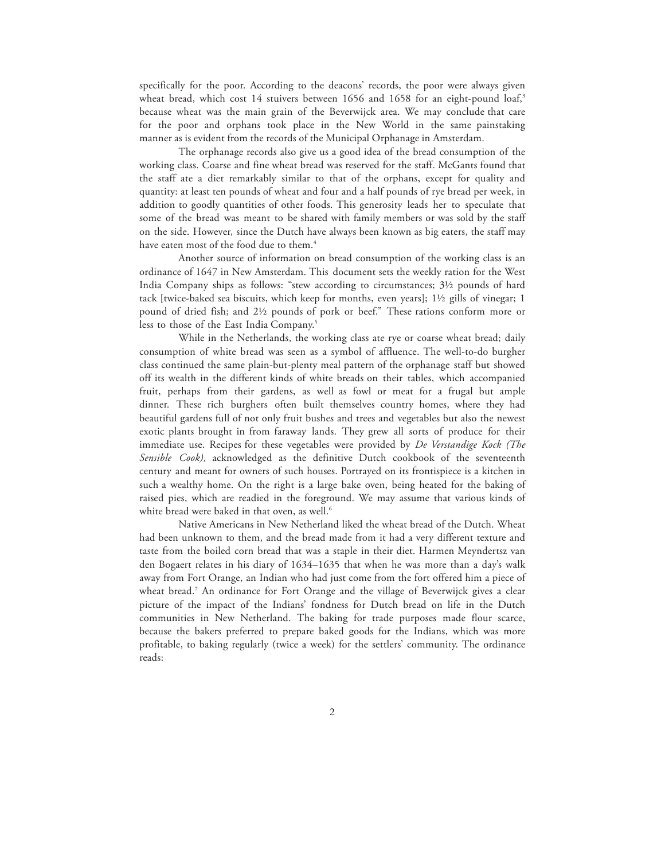specifically for the poor. According to the deacons' records, the poor were always given wheat bread, which cost 14 stuivers between 1656 and 1658 for an eight-pound loaf,<sup>3</sup> because wheat was the main grain of the Beverwijck area. We may conclude that care for the poor and orphans took place in the New World in the same painstaking manner as is evident from the records of the Municipal Orphanage in Amsterdam.

The orphanage records also give us a good idea of the bread consumption of the working class. Coarse and fine wheat bread was reserved for the staff. McGants found that the staff ate a diet remarkably similar to that of the orphans, except for quality and quantity: at least ten pounds of wheat and four and a half pounds of rye bread per week, in addition to goodly quantities of other foods. This generosity leads her to speculate that some of the bread was meant to be shared with family members or was sold by the staff on the side. However, since the Dutch have always been known as big eaters, the staff may have eaten most of the food due to them.<sup>4</sup>

Another source of information on bread consumption of the working class is an ordinance of 1647 in New Amsterdam. This document sets the weekly ration for the West India Company ships as follows: "stew according to circumstances; 3½ pounds of hard tack [twice-baked sea biscuits, which keep for months, even years]; 1½ gills of vinegar; 1 pound of dried fish; and 2½ pounds of pork or beef." These rations conform more or less to those of the East India Company. 5

While in the Netherlands, the working class ate rye or coarse wheat bread; daily consumption of white bread was seen as a symbol of affluence. The well-to-do burgher class continued the same plain-but-plenty meal pattern of the orphanage staff but showed off its wealth in the different kinds of white breads on their tables, which accompanied fruit, perhaps from their gardens, as well as fowl or meat for a frugal but ample dinner. These rich burghers often built themselves country homes, where they had beautiful gardens full of not only fruit bushes and trees and vegetables but also the newest exotic plants brought in from faraway lands. They grew all sorts of produce for their immediate use. Recipes for these vegetables were provided by *De Verstandige Kock (The Sensible Cook),* acknowledged as the definitive Dutch cookbook of the seventeenth century and meant for owners of such houses. Portrayed on its frontispiece is a kitchen in such a wealthy home. On the right is a large bake oven, being heated for the baking of raised pies, which are readied in the foreground. We may assume that various kinds of white bread were baked in that oven, as well.<sup>6</sup>

Native Americans in New Netherland liked the wheat bread of the Dutch. Wheat had been unknown to them, and the bread made from it had a very different texture and taste from the boiled corn bread that was a staple in their diet. Harmen Meyndertsz van den Bogaert relates in his diary of 1634–1635 that when he was more than a day's walk away from Fort Orange, an Indian who had just come from the fort offered him a piece of wheat bread. <sup>7</sup> An ordinance for Fort Orange and the village of Beverwijck gives a clear picture of the impact of the Indians' fondness for Dutch bread on life in the Dutch communities in New Netherland. The baking for trade purposes made flour scarce, because the bakers preferred to prepare baked goods for the Indians, which was more profitable, to baking regularly (twice a week) for the settlers' community. The ordinance reads: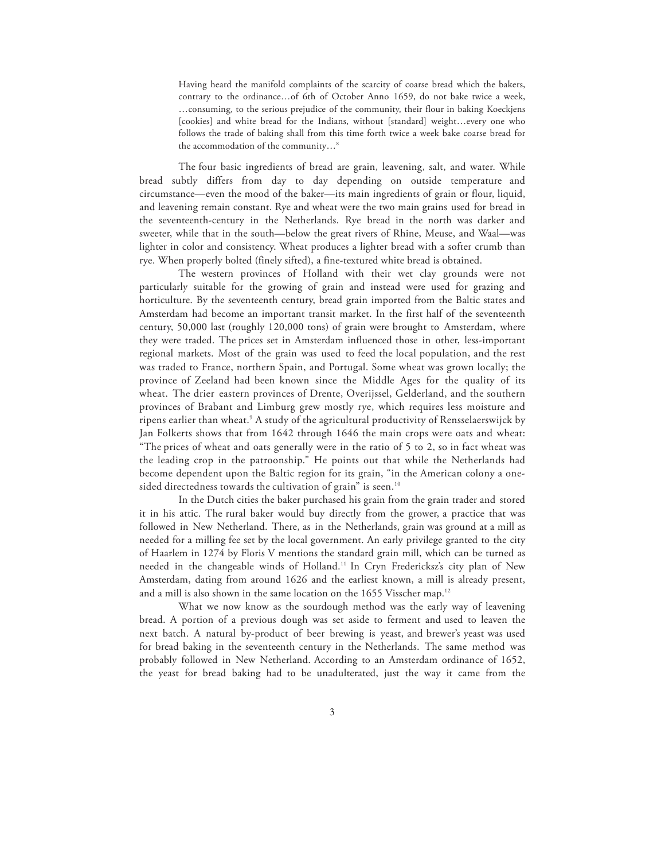Having heard the manifold complaints of the scarcity of coarse bread which the bakers, contrary to the ordinance…of 6th of October Anno 1659, do not bake twice a week, …consuming, to the serious prejudice of the community, their flour in baking Koeckjens [cookies] and white bread for the Indians, without [standard] weight...every one who follows the trade of baking shall from this time forth twice a week bake coarse bread for the accommodation of the community…8

The four basic ingredients of bread are grain, leavening, salt, and water. While bread subtly differs from day to day depending on outside temperature and circumstance—even the mood of the baker—its main ingredients of grain or flour, liquid, and leavening remain constant. Rye and wheat were the two main grains used for bread in the seventeenth-century in the Netherlands. Rye bread in the north was darker and sweeter, while that in the south—below the great rivers of Rhine, Meuse, and Waal—was lighter in color and consistency. Wheat produces a lighter bread with a softer crumb than rye. When properly bolted (finely sifted), a fine-textured white bread is obtained.

The western provinces of Holland with their wet clay grounds were not particularly suitable for the growing of grain and instead were used for grazing and horticulture. By the seventeenth century, bread grain imported from the Baltic states and Amsterdam had become an important transit market. In the first half of the seventeenth century, 50,000 last (roughly 120,000 tons) of grain were brought to Amsterdam, where they were traded. The prices set in Amsterdam influenced those in other, less-important regional markets. Most of the grain was used to feed the local population, and the rest was traded to France, northern Spain, and Portugal. Some wheat was grown locally; the province of Zeeland had been known since the Middle Ages for the quality of its wheat. The drier eastern provinces of Drente, Overijssel, Gelderland, and the southern provinces of Brabant and Limburg grew mostly rye, which requires less moisture and ripens earlier than wheat.9 A study of the agricultural productivity of Rensselaerswijck by Jan Folkerts shows that from 1642 through 1646 the main crops were oats and wheat: "The prices of wheat and oats generally were in the ratio of 5 to 2, so in fact wheat was the leading crop in the patroonship." He points out that while the Netherlands had become dependent upon the Baltic region for its grain, "in the American colony a onesided directedness towards the cultivation of grain" is seen.<sup>10</sup>

In the Dutch cities the baker purchased his grain from the grain trader and stored it in his attic. The rural baker would buy directly from the grower, a practice that was followed in New Netherland. There, as in the Netherlands, grain was ground at a mill as needed for a milling fee set by the local government. An early privilege granted to the city of Haarlem in 1274 by Floris V mentions the standard grain mill, which can be turned as needed in the changeable winds of Holland.11 In Cryn Fredericksz's city plan of New Amsterdam, dating from around 1626 and the earliest known, a mill is already present, and a mill is also shown in the same location on the 1655 Visscher map. $^{\rm 12}$ 

What we now know as the sourdough method was the early way of leavening bread. A portion of a previous dough was set aside to ferment and used to leaven the next batch. A natural by-product of beer brewing is yeast, and brewer's yeast was used for bread baking in the seventeenth century in the Netherlands. The same method was probably followed in New Netherland. According to an Amsterdam ordinance of 1652, the yeast for bread baking had to be unadulterated, just the way it came from the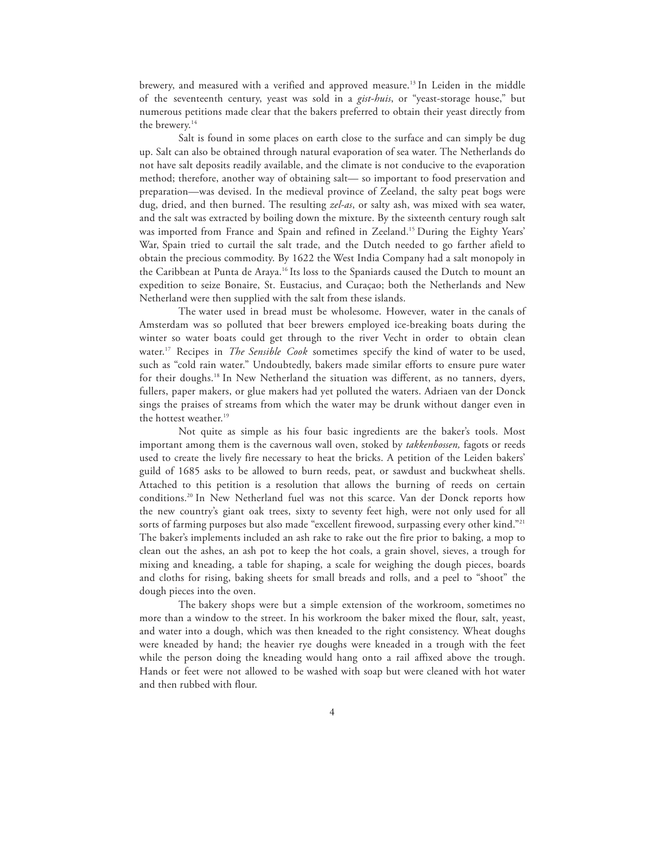brewery, and measured with a verified and approved measure.13 In Leiden in the middle of the seventeenth century, yeast was sold in a *gist-huis*, or "yeast-storage house," but numerous petitions made clear that the bakers preferred to obtain their yeast directly from the brewery. 14

Salt is found in some places on earth close to the surface and can simply be dug up. Salt can also be obtained through natural evaporation of sea water. The Netherlands do not have salt deposits readily available, and the climate is not conducive to the evaporation method; therefore, another way of obtaining salt— so important to food preservation and preparation—was devised. In the medieval province of Zeeland, the salty peat bogs were dug, dried, and then burned. The resulting *zel-as*, or salty ash, was mixed with sea water, and the salt was extracted by boiling down the mixture. By the sixteenth century rough salt was imported from France and Spain and refined in Zeeland. 15 During the Eighty Years' War, Spain tried to curtail the salt trade, and the Dutch needed to go farther afield to obtain the precious commodity. By 1622 the West India Company had a salt monopoly in the Caribbean at Punta de Araya.16 Its loss to the Spaniards caused the Dutch to mount an expedition to seize Bonaire, St. Eustacius, and Curaçao; both the Netherlands and New Netherland were then supplied with the salt from these islands.

The water used in bread must be wholesome. However, water in the canals of Amsterdam was so polluted that beer brewers employed ice-breaking boats during the winter so water boats could get through to the river Vecht in order to obtain clean water. 17 Recipes in *The Sensible Cook* sometimes specify the kind of water to be used, such as "cold rain water." Undoubtedly, bakers made similar efforts to ensure pure water for their doughs. 18 In New Netherland the situation was different, as no tanners, dyers, fullers, paper makers, or glue makers had yet polluted the waters. Adriaen van der Donck sings the praises of streams from which the water may be drunk without danger even in the hottest weather. 19

Not quite as simple as his four basic ingredients are the baker's tools. Most important among them is the cavernous wall oven, stoked by *takkenbossen,* fagots or reeds used to create the lively fire necessary to heat the bricks. A petition of the Leiden bakers' guild of 1685 asks to be allowed to burn reeds, peat, or sawdust and buckwheat shells. Attached to this petition is a resolution that allows the burning of reeds on certain conditions.20 In New Netherland fuel was not this scarce. Van der Donck reports how the new country's giant oak trees, sixty to seventy feet high, were not only used for all sorts of farming purposes but also made "excellent firewood, surpassing every other kind."<sup>21</sup> The baker's implements included an ash rake to rake out the fire prior to baking, a mop to clean out the ashes, an ash pot to keep the hot coals, a grain shovel, sieves, a trough for mixing and kneading, a table for shaping, a scale for weighing the dough pieces, boards and cloths for rising, baking sheets for small breads and rolls, and a peel to "shoot" the dough pieces into the oven.

The bakery shops were but a simple extension of the workroom, sometimes no more than a window to the street. In his workroom the baker mixed the flour, salt, yeast, and water into a dough, which was then kneaded to the right consistency. Wheat doughs were kneaded by hand; the heavier rye doughs were kneaded in a trough with the feet while the person doing the kneading would hang onto a rail affixed above the trough. Hands or feet were not allowed to be washed with soap but were cleaned with hot water and then rubbed with flour.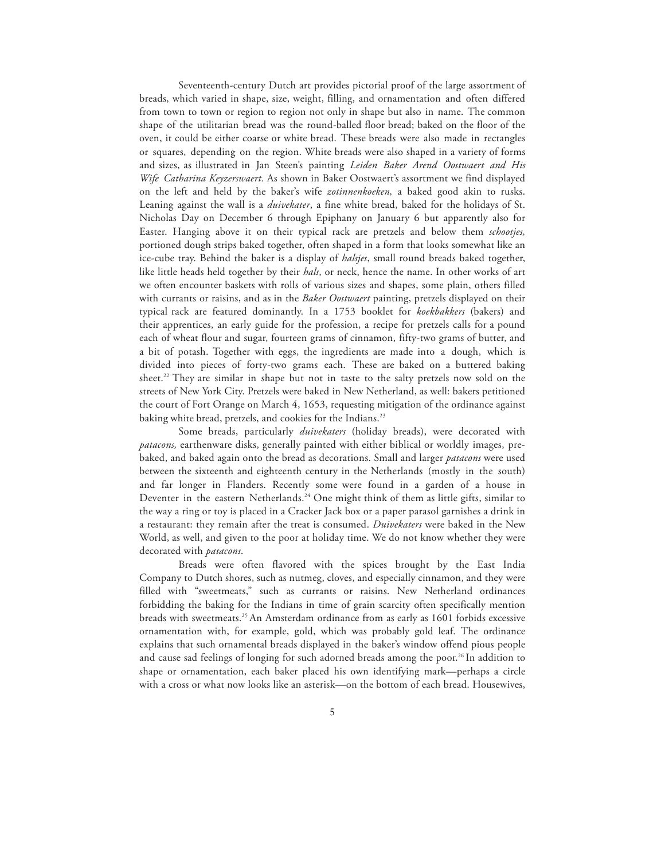Seventeenth-century Dutch art provides pictorial proof of the large assortment of breads, which varied in shape, size, weight, filling, and ornamentation and often differed from town to town or region to region not only in shape but also in name. The common shape of the utilitarian bread was the round-balled floor bread; baked on the floor of the oven, it could be either coarse or white bread. These breads were also made in rectangles or squares, depending on the region. White breads were also shaped in a variety of forms and sizes, as illustrated in Jan Steen's painting *Leiden Baker Arend Oostwaert and His Wife Catharina Keyzerswaert.* As shown in Baker Oostwaert's assortment we find displayed on the left and held by the baker's wife *zotinnenkoeken,* a baked good akin to rusks. Leaning against the wall is a *duivekater*, a fine white bread, baked for the holidays of St. Nicholas Day on December 6 through Epiphany on January 6 but apparently also for Easter. Hanging above it on their typical rack are pretzels and below them *schootjes,*  portioned dough strips baked together, often shaped in a form that looks somewhat like an ice-cube tray. Behind the baker is a display of *halsjes*, small round breads baked together, like little heads held together by their *hals*, or neck, hence the name. In other works of art we often encounter baskets with rolls of various sizes and shapes, some plain, others filled with currants or raisins, and as in the *Baker Oostwaert* painting, pretzels displayed on their typical rack are featured dominantly. In a 1753 booklet for *koekbakkers* (bakers) and their apprentices, an early guide for the profession, a recipe for pretzels calls for a pound each of wheat flour and sugar, fourteen grams of cinnamon, fifty-two grams of butter, and a bit of potash. Together with eggs, the ingredients are made into a dough, which is divided into pieces of forty-two grams each. These are baked on a buttered baking sheet.<sup>22</sup> They are similar in shape but not in taste to the salty pretzels now sold on the streets of New York City. Pretzels were baked in New Netherland, as well: bakers petitioned the court of Fort Orange on March 4, 1653, requesting mitigation of the ordinance against baking white bread, pretzels, and cookies for the Indians.<sup>23</sup>

Some breads, particularly *duivekaters* (holiday breads), were decorated with *patacons,* earthenware disks, generally painted with either biblical or worldly images, prebaked, and baked again onto the bread as decorations. Small and larger *patacons* were used between the sixteenth and eighteenth century in the Netherlands (mostly in the south) and far longer in Flanders. Recently some were found in a garden of a house in Deventer in the eastern Netherlands. <sup>24</sup> One might think of them as little gifts, similar to the way a ring or toy is placed in a Cracker Jack box or a paper parasol garnishes a drink in a restaurant: they remain after the treat is consumed. *Duivekaters* were baked in the New World, as well, and given to the poor at holiday time. We do not know whether they were decorated with *patacons*.

Breads were often flavored with the spices brought by the East India Company to Dutch shores, such as nutmeg, cloves, and especially cinnamon, and they were filled with "sweetmeats," such as currants or raisins. New Netherland ordinances forbidding the baking for the Indians in time of grain scarcity often specifically mention breads with sweetmeats.25 An Amsterdam ordinance from as early as 1601 forbids excessive ornamentation with, for example, gold, which was probably gold leaf. The ordinance explains that such ornamental breads displayed in the baker's window offend pious people and cause sad feelings of longing for such adorned breads among the poor. 26 In addition to shape or ornamentation, each baker placed his own identifying mark—perhaps a circle with a cross or what now looks like an asterisk—on the bottom of each bread. Housewives,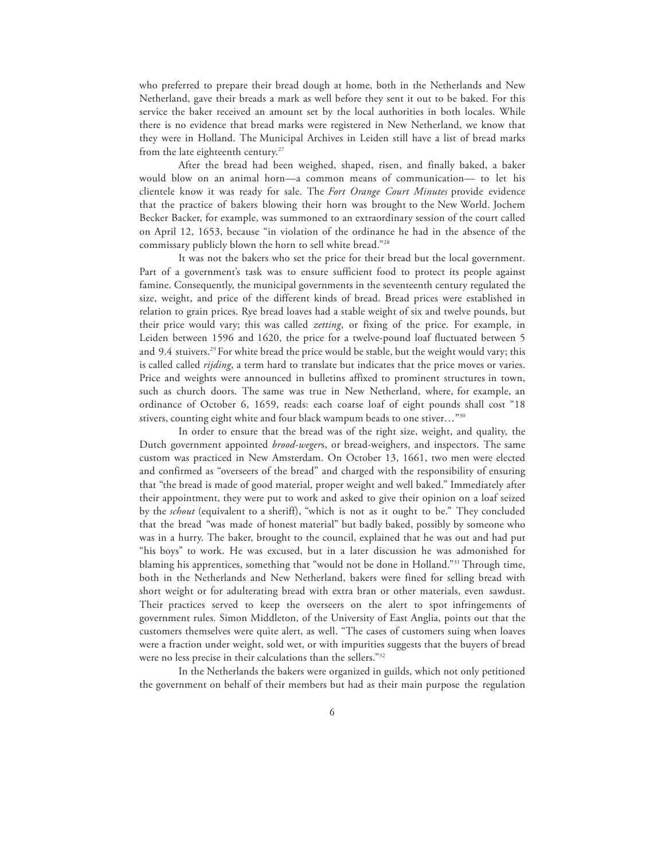who preferred to prepare their bread dough at home, both in the Netherlands and New Netherland, gave their breads a mark as well before they sent it out to be baked. For this service the baker received an amount set by the local authorities in both locales. While there is no evidence that bread marks were registered in New Netherland, we know that they were in Holland. The Municipal Archives in Leiden still have a list of bread marks from the late eighteenth century. 27

After the bread had been weighed, shaped, risen, and finally baked, a baker would blow on an animal horn—a common means of communication— to let his clientele know it was ready for sale. The *Fort Orange Court Minutes* provide evidence that the practice of bakers blowing their horn was brought to the New World. Jochem Becker Backer, for example, was summoned to an extraordinary session of the court called on April 12, 1653, because "in violation of the ordinance he had in the absence of the commissary publicly blown the horn to sell white bread."28

It was not the bakers who set the price for their bread but the local government. Part of a government's task was to ensure sufficient food to protect its people against famine. Consequently, the municipal governments in the seventeenth century regulated the size, weight, and price of the different kinds of bread. Bread prices were established in relation to grain prices. Rye bread loaves had a stable weight of six and twelve pounds, but their price would vary; this was called *zetting*, or fixing of the price. For example, in Leiden between 1596 and 1620, the price for a twelve-pound loaf fluctuated between 5 and 9.4 stuivers.<sup>29</sup> For white bread the price would be stable, but the weight would vary; this is called called *rijding*, a term hard to translate but indicates that the price moves or varies. Price and weights were announced in bulletins affixed to prominent structures in town, such as church doors. The same was true in New Netherland, where, for example, an ordinance of October 6, 1659, reads: each coarse loaf of eight pounds shall cost "18 stivers, counting eight white and four black wampum beads to one stiver…"30

In order to ensure that the bread was of the right size, weight, and quality, the Dutch government appointed *brood-weger*s, or bread-weighers, and inspectors. The same custom was practiced in New Amsterdam. On October 13, 1661, two men were elected and confirmed as "overseers of the bread" and charged with the responsibility of ensuring that "the bread is made of good material, proper weight and well baked." Immediately after their appointment, they were put to work and asked to give their opinion on a loaf seized by the *schout* (equivalent to a sheriff), "which is not as it ought to be." They concluded that the bread "was made of honest material" but badly baked, possibly by someone who was in a hurry. The baker, brought to the council, explained that he was out and had put "his boys" to work. He was excused, but in a later discussion he was admonished for blaming his apprentices, something that "would not be done in Holland."31 Through time, both in the Netherlands and New Netherland, bakers were fined for selling bread with short weight or for adulterating bread with extra bran or other materials, even sawdust. Their practices served to keep the overseers on the alert to spot infringements of government rules. Simon Middleton, of the University of East Anglia, points out that the customers themselves were quite alert, as well. "The cases of customers suing when loaves were a fraction under weight, sold wet, or with impurities suggests that the buyers of bread were no less precise in their calculations than the sellers."32

In the Netherlands the bakers were organized in guilds, which not only petitioned the government on behalf of their members but had as their main purpose the regulation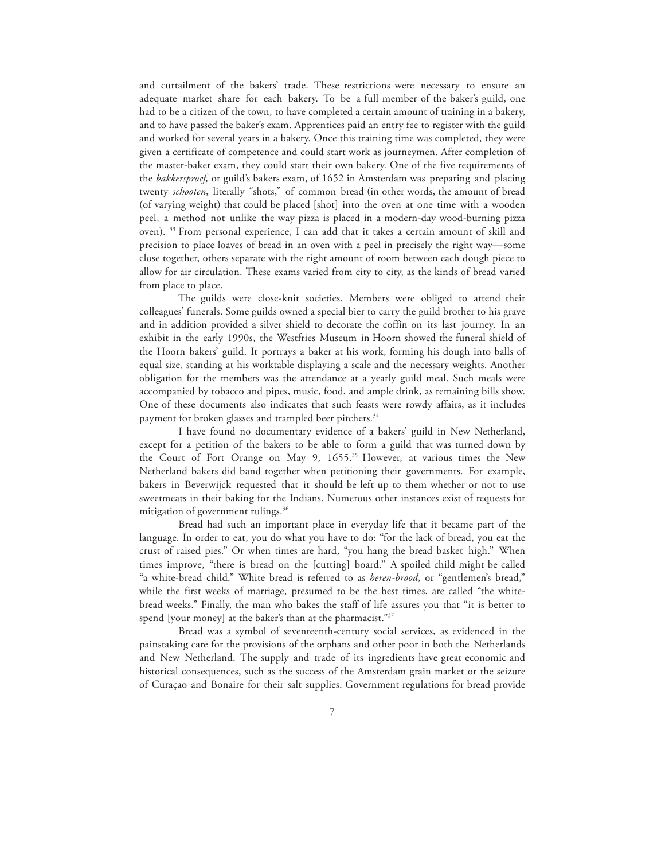and curtailment of the bakers' trade. These restrictions were necessary to ensure an adequate market share for each bakery. To be a full member of the baker's guild, one had to be a citizen of the town, to have completed a certain amount of training in a bakery, and to have passed the baker's exam. Apprentices paid an entry fee to register with the guild and worked for several years in a bakery. Once this training time was completed, they were given a certificate of competence and could start work as journeymen. After completion of the master-baker exam, they could start their own bakery. One of the five requirements of the *bakkersproef,* or guild's bakers exam, of 1652 in Amsterdam was preparing and placing twenty *schooten*, literally "shots," of common bread (in other words, the amount of bread (of varying weight) that could be placed [shot] into the oven at one time with a wooden peel, a method not unlike the way pizza is placed in a modern-day wood-burning pizza oven). 33 From personal experience, I can add that it takes a certain amount of skill and precision to place loaves of bread in an oven with a peel in precisely the right way—some close together, others separate with the right amount of room between each dough piece to allow for air circulation. These exams varied from city to city, as the kinds of bread varied from place to place.

The guilds were close-knit societies. Members were obliged to attend their colleagues' funerals. Some guilds owned a special bier to carry the guild brother to his grave and in addition provided a silver shield to decorate the coffin on its last journey. In an exhibit in the early 1990s, the Westfries Museum in Hoorn showed the funeral shield of the Hoorn bakers' guild. It portrays a baker at his work, forming his dough into balls of equal size, standing at his worktable displaying a scale and the necessary weights. Another obligation for the members was the attendance at a yearly guild meal. Such meals were accompanied by tobacco and pipes, music, food, and ample drink, as remaining bills show. One of these documents also indicates that such feasts were rowdy affairs, as it includes payment for broken glasses and trampled beer pitchers.<sup>34</sup>

I have found no documentary evidence of a bakers' guild in New Netherland, except for a petition of the bakers to be able to form a guild that was turned down by the Court of Fort Orange on May 9, 1655. 35 However, at various times the New Netherland bakers did band together when petitioning their governments. For example, bakers in Beverwijck requested that it should be left up to them whether or not to use sweetmeats in their baking for the Indians. Numerous other instances exist of requests for mitigation of government rulings.<sup>36</sup>

Bread had such an important place in everyday life that it became part of the language. In order to eat, you do what you have to do: "for the lack of bread, you eat the crust of raised pies." Or when times are hard, "you hang the bread basket high." When times improve, "there is bread on the [cutting] board." A spoiled child might be called "a white-bread child." White bread is referred to as *heren-brood*, or "gentlemen's bread," while the first weeks of marriage, presumed to be the best times, are called "the whitebread weeks." Finally, the man who bakes the staff of life assures you that "it is better to spend [your money] at the baker's than at the pharmacist."37

Bread was a symbol of seventeenth-century social services, as evidenced in the painstaking care for the provisions of the orphans and other poor in both the Netherlands and New Netherland. The supply and trade of its ingredients have great economic and historical consequences, such as the success of the Amsterdam grain market or the seizure of Curaçao and Bonaire for their salt supplies. Government regulations for bread provide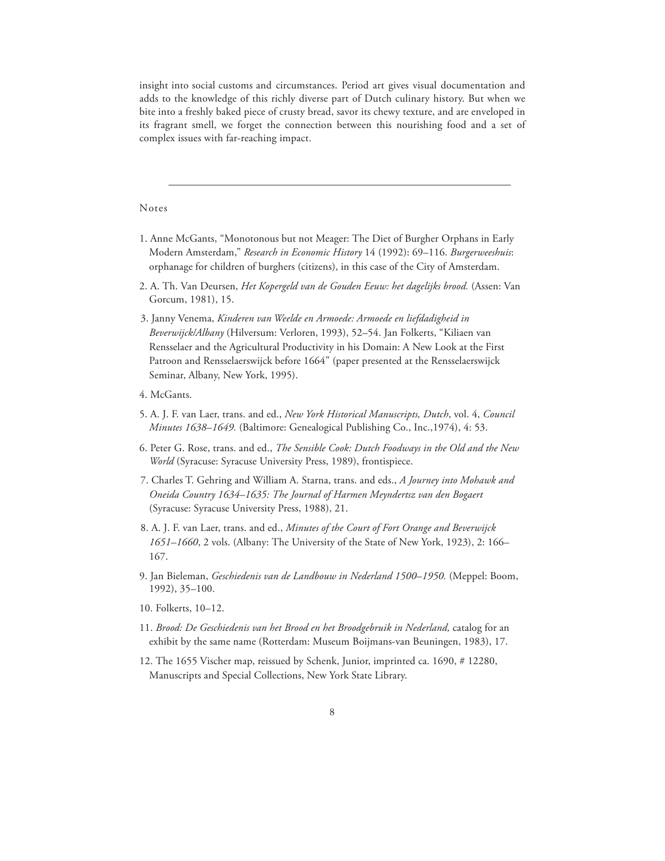insight into social customs and circumstances. Period art gives visual documentation and adds to the knowledge of this richly diverse part of Dutch culinary history. But when we bite into a freshly baked piece of crusty bread, savor its chewy texture, and are enveloped in its fragrant smell, we forget the connection between this nourishing food and a set of complex issues with far-reaching impact.

## Notes

- 1. Anne McGants, "Monotonous but not Meager: The Diet of Burgher Orphans in Early Modern Amsterdam," *Research in Economic History* 14 (1992): 69–116. *Burgerweeshuis*: orphanage for children of burghers (citizens), in this case of the City of Amsterdam.
- 2. A. Th. Van Deursen, *Het Kopergeld van de Gouden Eeuw: het dagelijks brood.* (Assen: Van Gorcum, 1981), 15.
- 3. Janny Venema, *Kinderen van Weelde en Armoede: Armoede en liefdadigheid in Beverwijck/Albany* (Hilversum: Verloren, 1993), 52–54. Jan Folkerts, "Kiliaen van Rensselaer and the Agricultural Productivity in his Domain: A New Look at the First Patroon and Rensselaerswijck before 1664" (paper presented at the Rensselaerswijck Seminar, Albany, New York, 1995).
- 4. McGants.
- 5. A. J. F. van Laer, trans. and ed., *New York Historical Manuscripts, Dutch*, vol. 4, *Council Minutes 1638–1649.* (Baltimore: Genealogical Publishing Co., Inc.,1974), 4: 53.
- 6. Peter G. Rose, trans. and ed., *The Sensible Cook: Dutch Foodways in the Old and the New World* (Syracuse: Syracuse University Press, 1989), frontispiece.
- 7. Charles T. Gehring and William A. Starna, trans. and eds., *A Journey into Mohawk and Oneida Country 1634–1635: The Journal of Harmen Meyndertsz van den Bogaert*  (Syracuse: Syracuse University Press, 1988), 21.
- 8. A. J. F. van Laer, trans. and ed., *Minutes of the Court of Fort Orange and Beverwijck 1651–1660*, 2 vols. (Albany: The University of the State of New York, 1923), 2: 166– 167.
- 9. Jan Bieleman, *Geschiedenis van de Landbouw in Nederland 1500–1950.* (Meppel: Boom, 1992), 35–100.
- 10. Folkerts, 10–12.
- 11. *Brood: De Geschiedenis van het Brood en het Broodgebruik in Nederland,* catalog for an exhibit by the same name (Rotterdam: Museum Boijmans-van Beuningen, 1983), 17.
- 12. The 1655 Vischer map, reissued by Schenk, Junior, imprinted ca. 1690, # 12280, Manuscripts and Special Collections, New York State Library.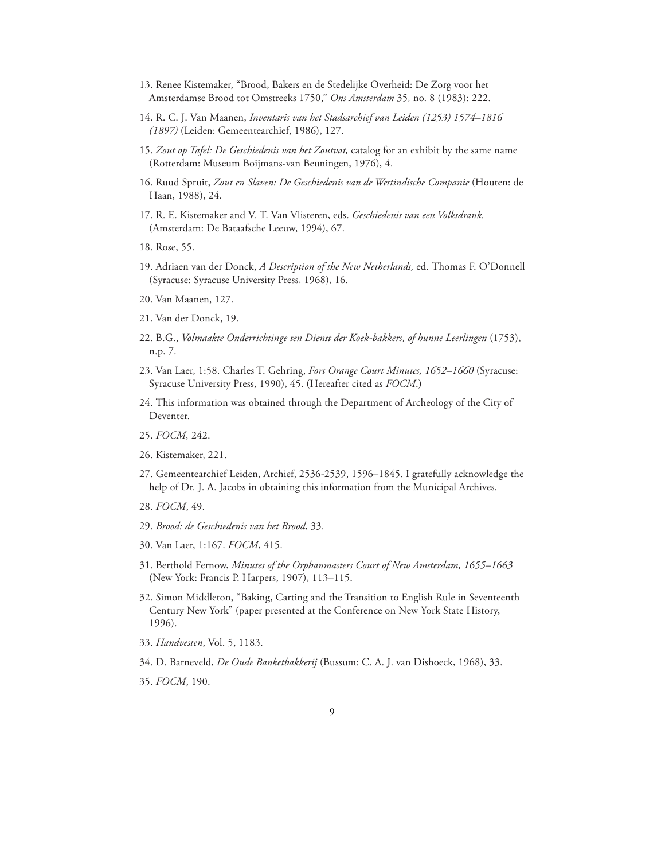- 13. Renee Kistemaker, "Brood, Bakers en de Stedelijke Overheid: De Zorg voor het Amsterdamse Brood tot Omstreeks 1750," *Ons Amsterdam* 35*,* no. 8 (1983): 222.
- 14. R. C. J. Van Maanen, *Inventaris van het Stadsarchief van Leiden (1253) 1574–1816 (1897)* (Leiden: Gemeentearchief, 1986), 127.
- 15. *Zout op Tafel: De Geschiedenis van het Zoutvat,* catalog for an exhibit by the same name (Rotterdam: Museum Boijmans-van Beuningen, 1976), 4.
- 16. Ruud Spruit, *Zout en Slaven: De Geschiedenis van de Westindische Companie* (Houten: de Haan, 1988), 24.
- 17. R. E. Kistemaker and V. T. Van Vlisteren, eds. *Geschiedenis van een Volksdrank.*  (Amsterdam: De Bataafsche Leeuw, 1994), 67.
- 18. Rose, 55.
- 19. Adriaen van der Donck, *A Description of the New Netherlands,* ed. Thomas F. O'Donnell (Syracuse: Syracuse University Press, 1968), 16.
- 20. Van Maanen, 127.
- 21. Van der Donck, 19.
- 22. B.G., *Volmaakte Onderrichtinge ten Dienst der Koek-bakkers, of hunne Leerlingen* (1753), n.p. 7.
- 23. Van Laer, 1:58. Charles T. Gehring, *Fort Orange Court Minutes, 1652–1660* (Syracuse: Syracuse University Press, 1990), 45. (Hereafter cited as *FOCM*.)
- 24. This information was obtained through the Department of Archeology of the City of Deventer.
- 25. *FOCM,* 242.
- 26. Kistemaker, 221.
- 27. Gemeentearchief Leiden, Archief, 2536-2539, 1596–1845. I gratefully acknowledge the help of Dr. J. A. Jacobs in obtaining this information from the Municipal Archives.
- 28. *FOCM*, 49.
- 29. *Brood: de Geschiedenis van het Brood*, 33.
- 30. Van Laer, 1:167. *FOCM*, 415.
- 31. Berthold Fernow, *Minutes of the Orphanmasters Court of New Amsterdam, 1655–1663*  (New York: Francis P. Harpers, 1907), 113–115.
- 32. Simon Middleton, "Baking, Carting and the Transition to English Rule in Seventeenth Century New York" (paper presented at the Conference on New York State History, 1996).
- 33. *Handvesten*, Vol. 5, 1183.
- 34. D. Barneveld, *De Oude Banketbakkerij* (Bussum: C. A. J. van Dishoeck, 1968), 33.
- 35. *FOCM*, 190.